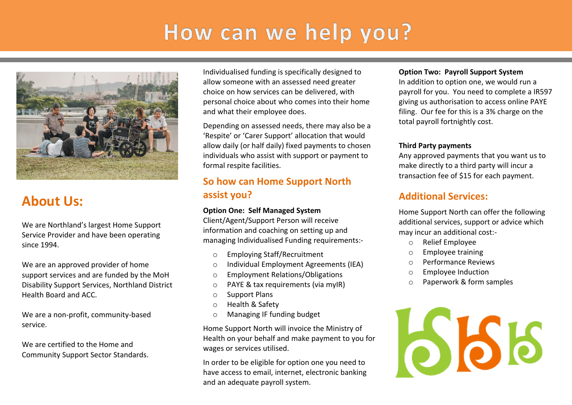# How can we help you?



# **About Us:**

We are Northland's largest Home Support Service Provider and have been operating since 1994.

We are an approved provider of home support services and are funded by the MoH Disability Support Services, Northland District Health Board and ACC.

We are a non-profit, community-based service.

We are certified to the Home and Community Support Sector Standards. Individualised funding is specifically designed to allow someone with an assessed need greater choice on how services can be delivered, with personal choice about who comes into their home and what their employee does.

Depending on assessed needs, there may also be a 'Respite' or 'Carer Support' allocation that would allow daily (or half daily) fixed payments to chosen individuals who assist with support or payment to formal respite facilities.

## **So how can Home Support North assist you?**

#### **Option One: Self Managed System**

Client/Agent/Support Person will receive information and coaching on setting up and managing Individualised Funding requirements:-

- o Employing Staff/Recruitment
- o Individual Employment Agreements (IEA)
- o Employment Relations/Obligations
- o PAYE & tax requirements (via myIR)
- o Support Plans
- o Health & Safety
- o Managing IF funding budget

Home Support North will invoice the Ministry of Health on your behalf and make payment to you for wages or services utilised.

In order to be eligible for option one you need to have access to email, internet, electronic banking and an adequate payroll system.

#### **Option Two: Payroll Support System**

In addition to option one, we would run a payroll for you. You need to complete a IR597 giving us authorisation to access online PAYE filing. Our fee for this is a 3% charge on the total payroll fortnightly cost.

#### **Third Party payments**

Any approved payments that you want us to make directly to a third party will incur a transaction fee of \$15 for each payment.

## **Additional Services:**

Home Support North can offer the following additional services, support or advice which may incur an additional cost:-

- o Relief Employee
- o Employee training
- o Performance Reviews
- o Employee Induction
- o Paperwork & form samples